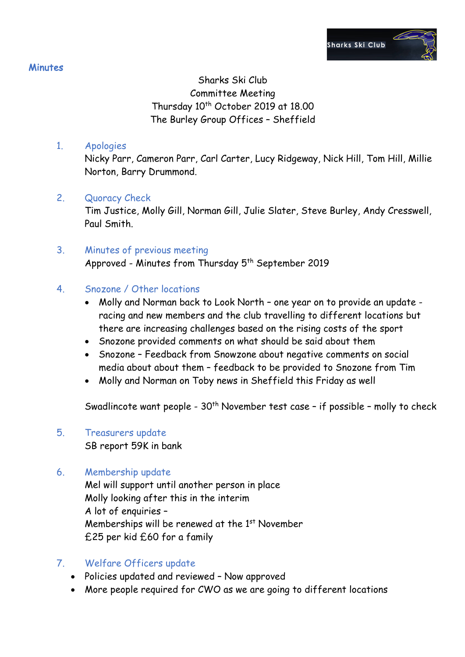# Sharks Ski Club Committee Meeting Thursday 10<sup>th</sup> October 2019 at 18.00 The Burley Group Offices – Sheffield

## 1. Apologies

Nicky Parr, Cameron Parr, Carl Carter, Lucy Ridgeway, Nick Hill, Tom Hill, Millie Norton, Barry Drummond.

## 2. Quoracy Check

Tim Justice, Molly Gill, Norman Gill, Julie Slater, Steve Burley, Andy Cresswell, Paul Smith.

## 3. Minutes of previous meeting Approved - Minutes from Thursday 5<sup>th</sup> September 2019

## 4. Snozone / Other locations

- Molly and Norman back to Look North one year on to provide an update racing and new members and the club travelling to different locations but there are increasing challenges based on the rising costs of the sport
- Snozone provided comments on what should be said about them
- Snozone Feedback from Snowzone about negative comments on social media about about them – feedback to be provided to Snozone from Tim
- Molly and Norman on Toby news in Sheffield this Friday as well

Swadlincote want people - 30<sup>th</sup> November test case - if possible - molly to check

## 5. Treasurers update

SB report 59K in bank

## 6. Membership update

Mel will support until another person in place Molly looking after this in the interim A lot of enquiries – Memberships will be renewed at the 1<sup>st</sup> November £25 per kid £60 for a family

## 7. Welfare Officers update

- Policies updated and reviewed Now approved
- More people required for CWO as we are going to different locations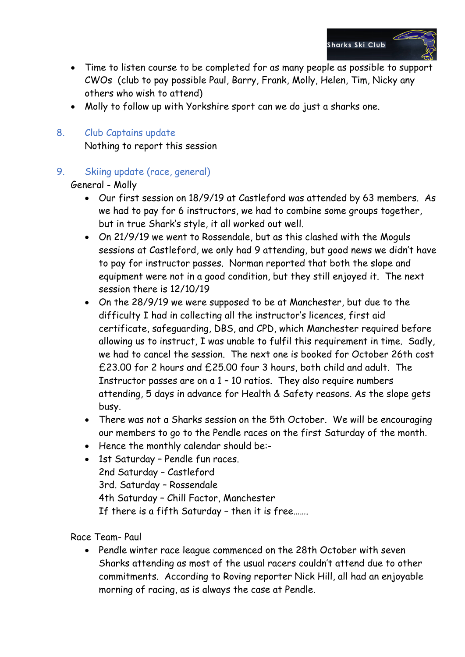

- Time to listen course to be completed for as many people as possible to support CWOs (club to pay possible Paul, Barry, Frank, Molly, Helen, Tim, Nicky any others who wish to attend)
- Molly to follow up with Yorkshire sport can we do just a sharks one.

# 8. Club Captains update

Nothing to report this session

9. Skiing update (race, general)

General - Molly

- Our first session on 18/9/19 at Castleford was attended by 63 members. As we had to pay for 6 instructors, we had to combine some groups together, but in true Shark's style, it all worked out well.
- On 21/9/19 we went to Rossendale, but as this clashed with the Moguls sessions at Castleford, we only had 9 attending, but good news we didn't have to pay for instructor passes. Norman reported that both the slope and equipment were not in a good condition, but they still enjoyed it. The next session there is 12/10/19
- On the 28/9/19 we were supposed to be at Manchester, but due to the difficulty I had in collecting all the instructor's licences, first aid certificate, safeguarding, DBS, and CPD, which Manchester required before allowing us to instruct, I was unable to fulfil this requirement in time. Sadly, we had to cancel the session. The next one is booked for October 26th cost £23.00 for 2 hours and £25.00 four 3 hours, both child and adult. The Instructor passes are on a 1 – 10 ratios. They also require numbers attending, 5 days in advance for Health & Safety reasons. As the slope gets busy.
- There was not a Sharks session on the 5th October. We will be encouraging our members to go to the Pendle races on the first Saturday of the month.
- Hence the monthly calendar should be:-
- 1st Saturday Pendle fun races. 2nd Saturday – Castleford 3rd. Saturday – Rossendale 4th Saturday – Chill Factor, Manchester If there is a fifth Saturday – then it is free…….

Race Team- Paul

• Pendle winter race league commenced on the 28th October with seven Sharks attending as most of the usual racers couldn't attend due to other commitments. According to Roving reporter Nick Hill, all had an enjoyable morning of racing, as is always the case at Pendle.